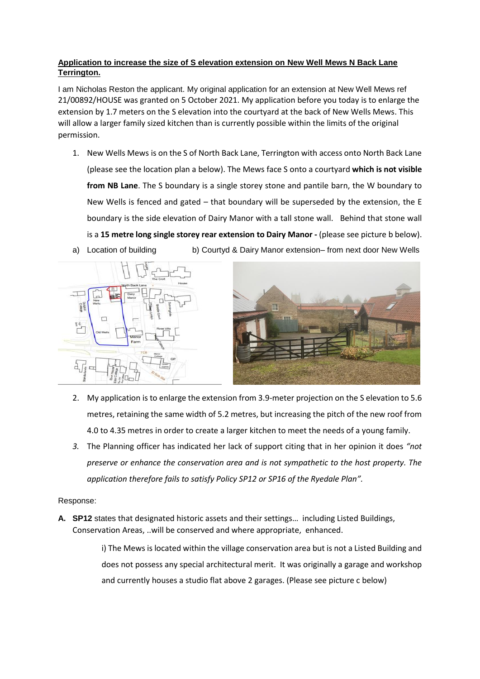## **Application to increase the size of S elevation extension on New Well Mews N Back Lane Terrington.**

I am Nicholas Reston the applicant. My original application for an extension at New Well Mews ref 21/00892/HOUSE was granted on 5 October 2021. My application before you today is to enlarge the extension by 1.7 meters on the S elevation into the courtyard at the back of New Wells Mews. This will allow a larger family sized kitchen than is currently possible within the limits of the original permission.

1. New Wells Mews is on the S of North Back Lane, Terrington with access onto North Back Lane (please see the location plan a below). The Mews face S onto a courtyard **which is not visible from NB Lane**. The S boundary is a single storey stone and pantile barn, the W boundary to New Wells is fenced and gated – that boundary will be superseded by the extension, the E boundary is the side elevation of Dairy Manor with a tall stone wall. Behind that stone wall is a **15 metre long single storey rear extension to Dairy Manor -** (please see picture b below). a) Location of building b) Courtyd & Dairy Manor extension– from next door New Wells





- 2. My application is to enlarge the extension from 3.9-meter projection on the S elevation to 5.6 metres, retaining the same width of 5.2 metres, but increasing the pitch of the new roof from 4.0 to 4.35 metres in order to create a larger kitchen to meet the needs of a young family.
- *3.* The Planning officer has indicated her lack of support citing that in her opinion it does *"not preserve or enhance the conservation area and is not sympathetic to the host property. The application therefore fails to satisfy Policy SP12 or SP16 of the Ryedale Plan".*

## Response:

**A. SP12** states that designated historic assets and their settings… including Listed Buildings, Conservation Areas, ..will be conserved and where appropriate, enhanced.

> i) The Mews is located within the village conservation area but is not a Listed Building and does not possess any special architectural merit. It was originally a garage and workshop and currently houses a studio flat above 2 garages. (Please see picture c below)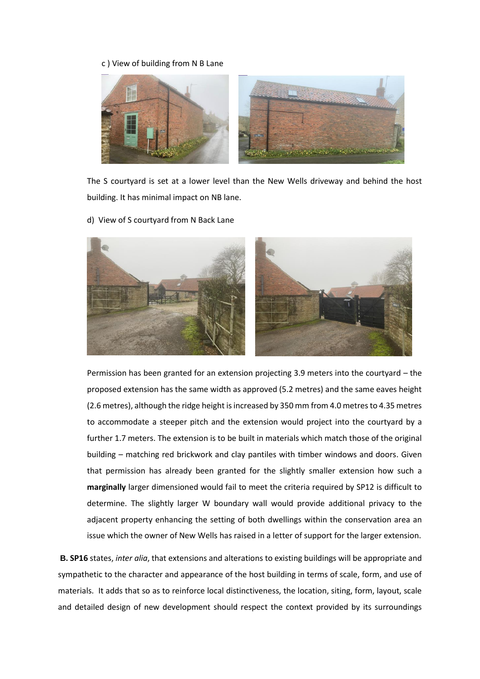## c ) View of building from N B Lane



The S courtyard is set at a lower level than the New Wells driveway and behind the host building. It has minimal impact on NB lane.

d) View of S courtyard from N Back Lane



Permission has been granted for an extension projecting 3.9 meters into the courtyard – the proposed extension has the same width as approved (5.2 metres) and the same eaves height (2.6 metres), although the ridge height is increased by 350 mm from 4.0 metres to 4.35 metres to accommodate a steeper pitch and the extension would project into the courtyard by a further 1.7 meters. The extension is to be built in materials which match those of the original building – matching red brickwork and clay pantiles with timber windows and doors. Given that permission has already been granted for the slightly smaller extension how such a **marginally** larger dimensioned would fail to meet the criteria required by SP12 is difficult to determine. The slightly larger W boundary wall would provide additional privacy to the adjacent property enhancing the setting of both dwellings within the conservation area an issue which the owner of New Wells has raised in a letter of support for the larger extension.

**B. SP16** states, *inter alia*, that extensions and alterations to existing buildings will be appropriate and sympathetic to the character and appearance of the host building in terms of scale, form, and use of materials. It adds that so as to reinforce local distinctiveness, the location, siting, form, layout, scale and detailed design of new development should respect the context provided by its surroundings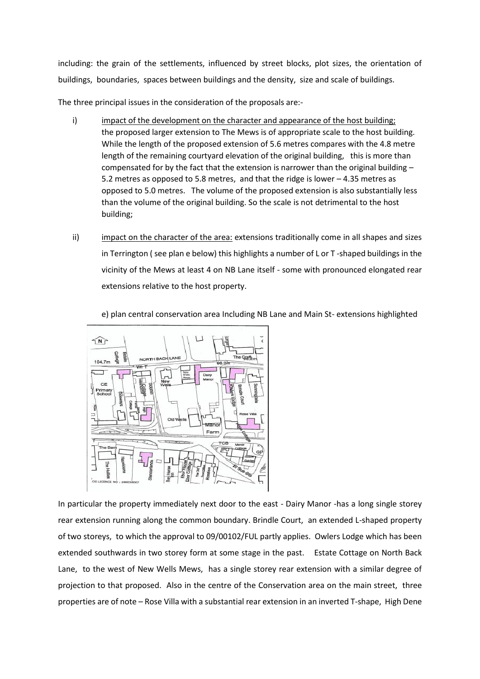including: the grain of the settlements, influenced by street blocks, plot sizes, the orientation of buildings, boundaries, spaces between buildings and the density, size and scale of buildings.

The three principal issues in the consideration of the proposals are:-

- i) impact of the development on the character and appearance of the host building; the proposed larger extension to The Mews is of appropriate scale to the host building. While the length of the proposed extension of 5.6 metres compares with the 4.8 metre length of the remaining courtyard elevation of the original building, this is more than compensated for by the fact that the extension is narrower than the original building  $-$ 5.2 metres as opposed to 5.8 metres, and that the ridge is lower – 4.35 metres as opposed to 5.0 metres. The volume of the proposed extension is also substantially less than the volume of the original building. So the scale is not detrimental to the host building;
- ii) impact on the character of the area: extensions traditionally come in all shapes and sizes in Terrington ( see plan e below) this highlights a number of L or T -shaped buildings in the vicinity of the Mews at least 4 on NB Lane itself - some with pronounced elongated rear extensions relative to the host property.

e) plan central conservation area Including NB Lane and Main St- extensions highlighted



In particular the property immediately next door to the east - Dairy Manor -has a long single storey rear extension running along the common boundary. Brindle Court, an extended L-shaped property of two storeys, to which the approval to 09/00102/FUL partly applies. Owlers Lodge which has been extended southwards in two storey form at some stage in the past. Estate Cottage on North Back Lane, to the west of New Wells Mews, has a single storey rear extension with a similar degree of projection to that proposed. Also in the centre of the Conservation area on the main street, three properties are of note – Rose Villa with a substantial rear extension in an inverted T-shape, High Dene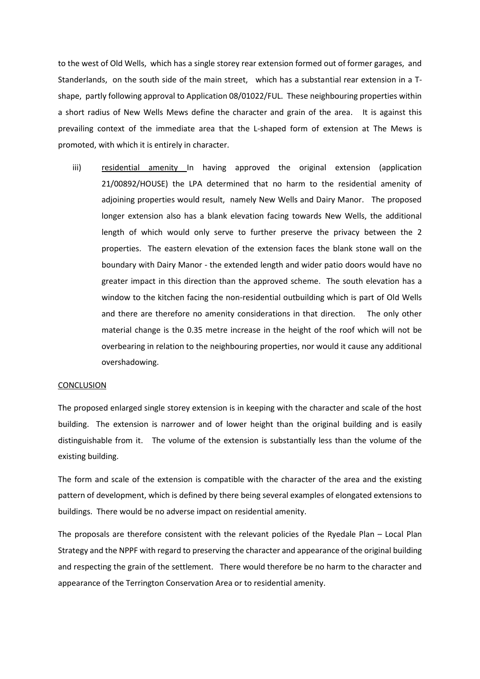to the west of Old Wells, which has a single storey rear extension formed out of former garages, and Standerlands, on the south side of the main street, which has a substantial rear extension in a Tshape, partly following approval to Application 08/01022/FUL. These neighbouring properties within a short radius of New Wells Mews define the character and grain of the area. It is against this prevailing context of the immediate area that the L-shaped form of extension at The Mews is promoted, with which it is entirely in character.

iii) residential amenity In having approved the original extension (application 21/00892/HOUSE) the LPA determined that no harm to the residential amenity of adjoining properties would result, namely New Wells and Dairy Manor. The proposed longer extension also has a blank elevation facing towards New Wells, the additional length of which would only serve to further preserve the privacy between the 2 properties. The eastern elevation of the extension faces the blank stone wall on the boundary with Dairy Manor - the extended length and wider patio doors would have no greater impact in this direction than the approved scheme. The south elevation has a window to the kitchen facing the non-residential outbuilding which is part of Old Wells and there are therefore no amenity considerations in that direction. The only other material change is the 0.35 metre increase in the height of the roof which will not be overbearing in relation to the neighbouring properties, nor would it cause any additional overshadowing.

## CONCLUSION

The proposed enlarged single storey extension is in keeping with the character and scale of the host building. The extension is narrower and of lower height than the original building and is easily distinguishable from it. The volume of the extension is substantially less than the volume of the existing building.

The form and scale of the extension is compatible with the character of the area and the existing pattern of development, which is defined by there being several examples of elongated extensions to buildings. There would be no adverse impact on residential amenity.

The proposals are therefore consistent with the relevant policies of the Ryedale Plan – Local Plan Strategy and the NPPF with regard to preserving the character and appearance of the original building and respecting the grain of the settlement. There would therefore be no harm to the character and appearance of the Terrington Conservation Area or to residential amenity.